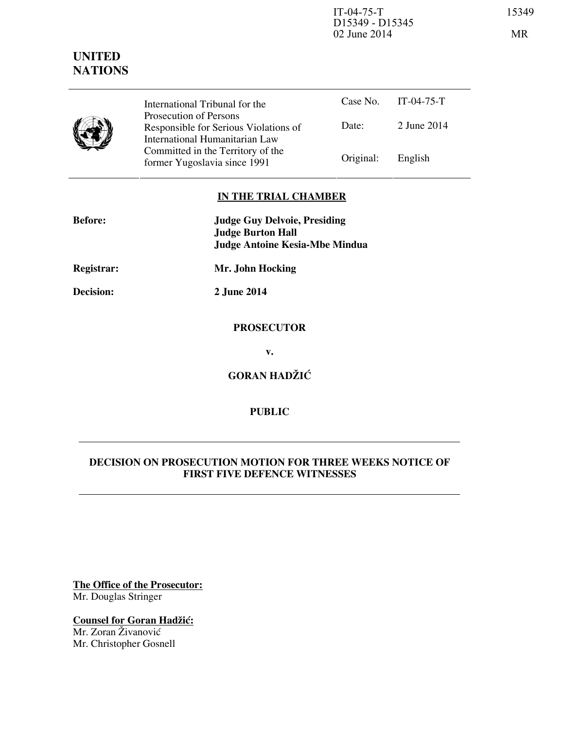IT-04-75-T 15349 D15349 - D15345 02 June 2014 MR

Case No. IT-04-75-T Date: 2 June 2014 International Tribunal for the Prosecution of Persons Responsible for Serious Violations of International Humanitarian Law Committed in the Territory of the Former Yugoslavia since 1991 Original: English

# **IN THE TRIAL CHAMBER**

| <b>Before:</b> | <b>Judge Guy Delvoie, Presiding</b><br><b>Judge Burton Hall</b><br><b>Judge Antoine Kesia-Mbe Mindua</b> |
|----------------|----------------------------------------------------------------------------------------------------------|
| Registrar:     | Mr. John Hocking                                                                                         |
| Decision:      | 2 June 2014                                                                                              |
|                | <b>PROSECUTOR</b>                                                                                        |
|                | v.                                                                                                       |
|                | <b>GORAN HADŽIĆ</b>                                                                                      |

# **PUBLIC**

# **DECISION ON PROSECUTION MOTION FOR THREE WEEKS NOTICE OF FIRST FIVE DEFENCE WITNESSES**

**The Office of the Prosecutor:** Mr. Douglas Stringer

**Counsel for Goran Hadžić:** Mr. Zoran Živanović Mr. Christopher Gosnell

# **UNITED NATIONS**

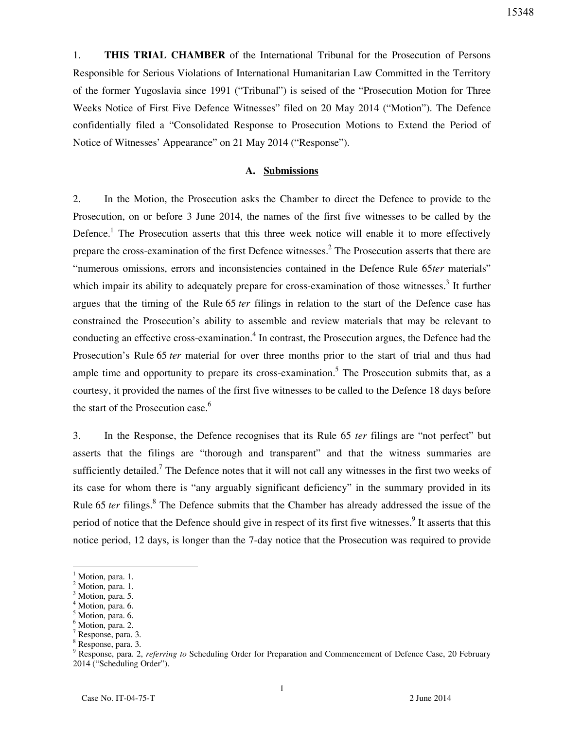1. **THIS TRIAL CHAMBER** of the International Tribunal for the Prosecution of Persons Responsible for Serious Violations of International Humanitarian Law Committed in the Territory of the former Yugoslavia since 1991 ("Tribunal") is seised of the "Prosecution Motion for Three Weeks Notice of First Five Defence Witnesses" filed on 20 May 2014 ("Motion"). The Defence

Notice of Witnesses' Appearance" on 21 May 2014 ("Response").

## **A. Submissions**

confidentially filed a "Consolidated Response to Prosecution Motions to Extend the Period of

2. In the Motion, the Prosecution asks the Chamber to direct the Defence to provide to the Prosecution, on or before 3 June 2014, the names of the first five witnesses to be called by the Defence.<sup>1</sup> The Prosecution asserts that this three week notice will enable it to more effectively prepare the cross-examination of the first Defence witnesses.<sup>2</sup> The Prosecution asserts that there are "numerous omissions, errors and inconsistencies contained in the Defence Rule 65*ter* materials" which impair its ability to adequately prepare for cross-examination of those witnesses.<sup>3</sup> It further argues that the timing of the Rule 65 *ter* filings in relation to the start of the Defence case has constrained the Prosecution's ability to assemble and review materials that may be relevant to conducting an effective cross-examination.<sup>4</sup> In contrast, the Prosecution argues, the Defence had the Prosecution's Rule 65 *ter* material for over three months prior to the start of trial and thus had ample time and opportunity to prepare its cross-examination.<sup>5</sup> The Prosecution submits that, as a courtesy, it provided the names of the first five witnesses to be called to the Defence 18 days before the start of the Prosecution case.<sup>6</sup>

3. In the Response, the Defence recognises that its Rule 65 *ter* filings are "not perfect" but asserts that the filings are "thorough and transparent" and that the witness summaries are sufficiently detailed.<sup>7</sup> The Defence notes that it will not call any witnesses in the first two weeks of its case for whom there is "any arguably significant deficiency" in the summary provided in its Rule 65 *ter* filings.<sup>8</sup> The Defence submits that the Chamber has already addressed the issue of the period of notice that the Defence should give in respect of its first five witnesses.<sup>9</sup> It asserts that this notice period, 12 days, is longer than the 7-day notice that the Prosecution was required to provide

 $\overline{a}$ 

 $^{4}$  Motion, para. 6.

<sup>1</sup> Motion, para. 1. 2

Motion, para. 1. 3

Motion, para. 5.

Motion, para. 6.

 $^6$  Motion, para. 2.

Response, para. 3.

<sup>8</sup> Response, para. 3.

<sup>9</sup> Response, para. 2, *referring to* Scheduling Order for Preparation and Commencement of Defence Case, 20 February 2014 ("Scheduling Order").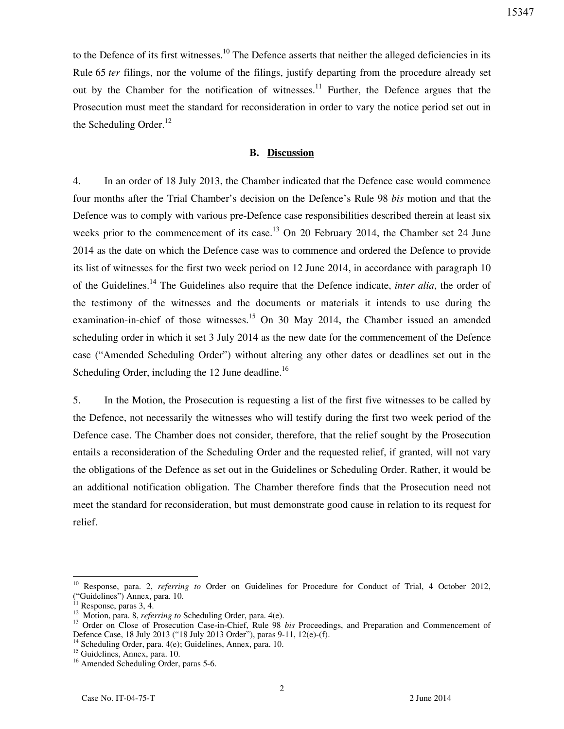to the Defence of its first witnesses.<sup>10</sup> The Defence asserts that neither the alleged deficiencies in its Rule 65 *ter* filings, nor the volume of the filings, justify departing from the procedure already set out by the Chamber for the notification of witnesses.<sup>11</sup> Further, the Defence argues that the Prosecution must meet the standard for reconsideration in order to vary the notice period set out in the Scheduling Order. $^{12}$ 

## **B. Discussion**

4. In an order of 18 July 2013, the Chamber indicated that the Defence case would commence four months after the Trial Chamber's decision on the Defence's Rule 98 *bis* motion and that the Defence was to comply with various pre-Defence case responsibilities described therein at least six weeks prior to the commencement of its case.<sup>13</sup> On 20 February 2014, the Chamber set 24 June 2014 as the date on which the Defence case was to commence and ordered the Defence to provide its list of witnesses for the first two week period on 12 June 2014, in accordance with paragraph 10 of the Guidelines.<sup>14</sup> The Guidelines also require that the Defence indicate, *inter alia*, the order of the testimony of the witnesses and the documents or materials it intends to use during the examination-in-chief of those witnesses.<sup>15</sup> On 30 May 2014, the Chamber issued an amended scheduling order in which it set 3 July 2014 as the new date for the commencement of the Defence case ("Amended Scheduling Order") without altering any other dates or deadlines set out in the Scheduling Order, including the 12 June deadline.<sup>16</sup>

5. In the Motion, the Prosecution is requesting a list of the first five witnesses to be called by the Defence, not necessarily the witnesses who will testify during the first two week period of the Defence case. The Chamber does not consider, therefore, that the relief sought by the Prosecution entails a reconsideration of the Scheduling Order and the requested relief, if granted, will not vary the obligations of the Defence as set out in the Guidelines or Scheduling Order. Rather, it would be an additional notification obligation. The Chamber therefore finds that the Prosecution need not meet the standard for reconsideration, but must demonstrate good cause in relation to its request for relief.

 $\overline{a}$ 

<sup>10</sup> Response, para. 2, *referring to* Order on Guidelines for Procedure for Conduct of Trial, 4 October 2012, "Guidelines") Annex, para. 10.

 $11$  Response, paras 3, 4.

<sup>12</sup> Motion, para. 8, *referring to* Scheduling Order, para. 4(e).

<sup>&</sup>lt;sup>13</sup> Order on Close of Prosecution Case-in-Chief, Rule 98 *bis* Proceedings, and Preparation and Commencement of Defence Case, 18 July 2013 ("18 July 2013 Order"), paras 9-11, 12(e)-(f).

<sup>&</sup>lt;sup>14</sup> Scheduling Order, para. 4(e); Guidelines, Annex, para. 10.

<sup>&</sup>lt;sup>15</sup> Guidelines, Annex, para. 10.

<sup>&</sup>lt;sup>16</sup> Amended Scheduling Order, paras 5-6.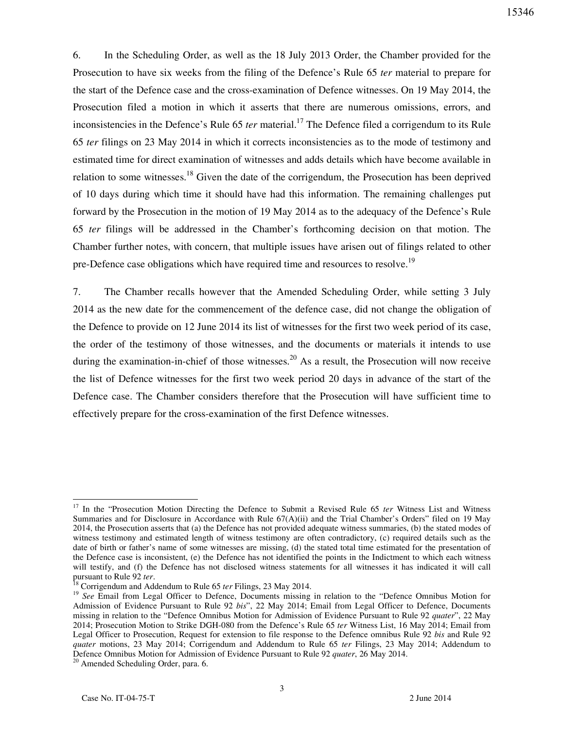6. In the Scheduling Order, as well as the 18 July 2013 Order, the Chamber provided for the Prosecution to have six weeks from the filing of the Defence's Rule 65 *ter* material to prepare for the start of the Defence case and the cross-examination of Defence witnesses. On 19 May 2014, the Prosecution filed a motion in which it asserts that there are numerous omissions, errors, and inconsistencies in the Defence's Rule 65 *ter* material.<sup>17</sup> The Defence filed a corrigendum to its Rule 65 *ter* filings on 23 May 2014 in which it corrects inconsistencies as to the mode of testimony and estimated time for direct examination of witnesses and adds details which have become available in relation to some witnesses.<sup>18</sup> Given the date of the corrigendum, the Prosecution has been deprived of 10 days during which time it should have had this information. The remaining challenges put forward by the Prosecution in the motion of 19 May 2014 as to the adequacy of the Defence's Rule 65 *ter* filings will be addressed in the Chamber's forthcoming decision on that motion. The Chamber further notes, with concern, that multiple issues have arisen out of filings related to other pre-Defence case obligations which have required time and resources to resolve.<sup>19</sup>

7. The Chamber recalls however that the Amended Scheduling Order, while setting 3 July 2014 as the new date for the commencement of the defence case, did not change the obligation of the Defence to provide on 12 June 2014 its list of witnesses for the first two week period of its case, the order of the testimony of those witnesses, and the documents or materials it intends to use during the examination-in-chief of those witnesses.<sup>20</sup> As a result, the Prosecution will now receive the list of Defence witnesses for the first two week period 20 days in advance of the start of the Defence case. The Chamber considers therefore that the Prosecution will have sufficient time to effectively prepare for the cross-examination of the first Defence witnesses.

 $\overline{a}$ 

<sup>&</sup>lt;sup>17</sup> In the "Prosecution Motion Directing the Defence to Submit a Revised Rule 65 *ter* Witness List and Witness Summaries and for Disclosure in Accordance with Rule 67(A)(ii) and the Trial Chamber's Orders" filed on 19 May 2014, the Prosecution asserts that (a) the Defence has not provided adequate witness summaries, (b) the stated modes of witness testimony and estimated length of witness testimony are often contradictory, (c) required details such as the date of birth or father's name of some witnesses are missing, (d) the stated total time estimated for the presentation of the Defence case is inconsistent, (e) the Defence has not identified the points in the Indictment to which each witness will testify, and (f) the Defence has not disclosed witness statements for all witnesses it has indicated it will call pursuant to Rule 92 *ter*.

<sup>18</sup> Corrigendum and Addendum to Rule 65 *ter* Filings, 23 May 2014.

<sup>&</sup>lt;sup>19</sup> See Email from Legal Officer to Defence, Documents missing in relation to the "Defence Omnibus Motion for Admission of Evidence Pursuant to Rule 92 *bis*", 22 May 2014; Email from Legal Officer to Defence, Documents missing in relation to the "Defence Omnibus Motion for Admission of Evidence Pursuant to Rule 92 *quater*", 22 May 2014; Prosecution Motion to Strike DGH-080 from the Defence's Rule 65 *ter* Witness List, 16 May 2014; Email from Legal Officer to Prosecution, Request for extension to file response to the Defence omnibus Rule 92 *bis* and Rule 92 *quater* motions, 23 May 2014; Corrigendum and Addendum to Rule 65 *ter* Filings, 23 May 2014; Addendum to Defence Omnibus Motion for Admission of Evidence Pursuant to Rule 92 *quater*, 26 May 2014.

 $20$  Amended Scheduling Order, para. 6.